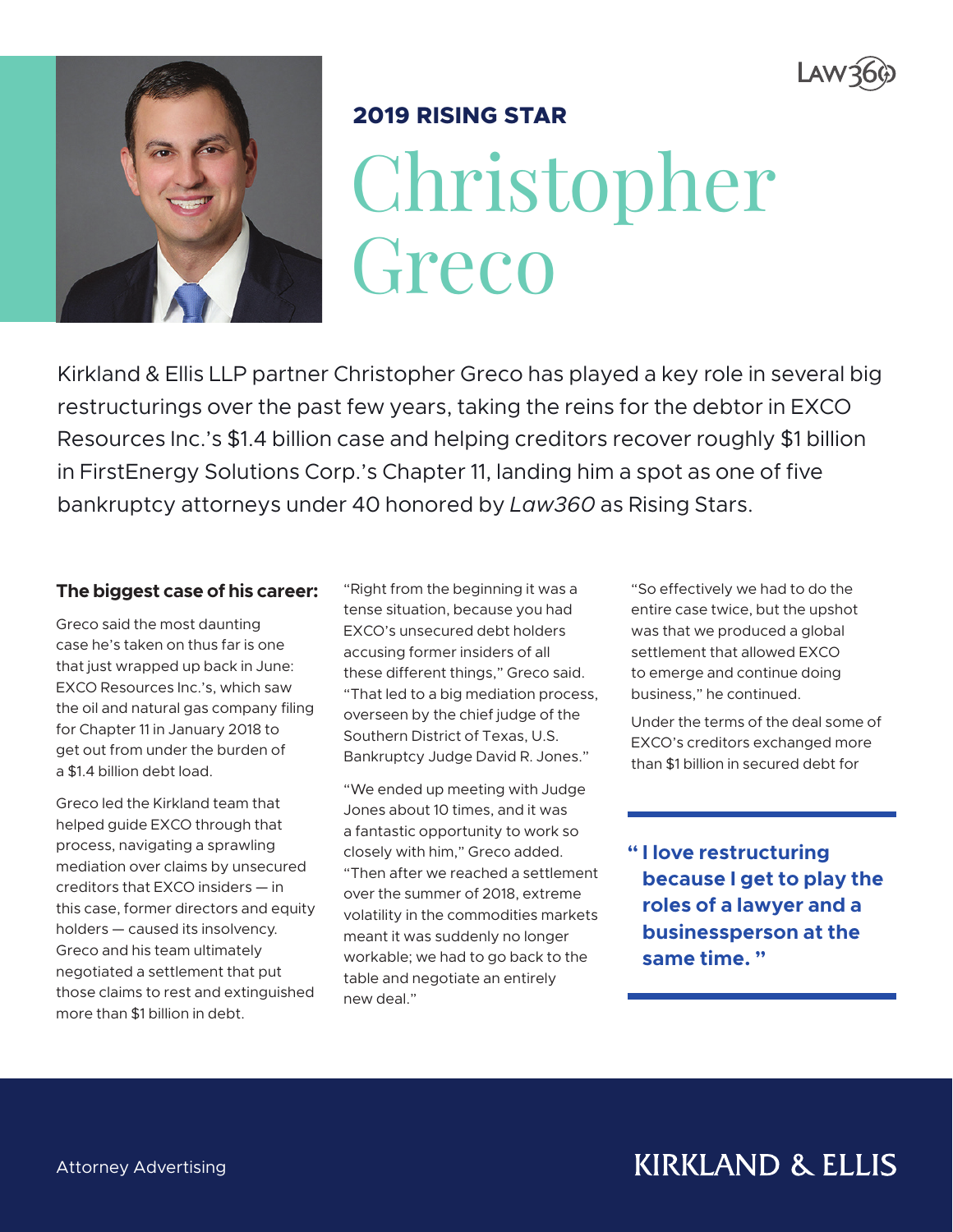



## **2019 RISING STAR**

Christopher Greco

Kirkland & Ellis LLP partner Christopher Greco has played a key role in several big restructurings over the past few years, taking the reins for the debtor in EXCO Resources Inc.'s \$1.4 billion case and helping creditors recover roughly \$1 billion in FirstEnergy Solutions Corp.'s Chapter 11, landing him a spot as one of five bankruptcy attorneys under 40 honored by *Law360* as Rising Stars.

#### **The biggest case of his career:**

Greco said the most daunting case he's taken on thus far is one that just wrapped up back in June: EXCO Resources Inc.'s, which saw the oil and natural gas company filing for Chapter 11 in January 2018 to get out from under the burden of a \$1.4 billion debt load.

Greco led the Kirkland team that helped guide EXCO through that process, navigating a sprawling mediation over claims by unsecured creditors that EXCO insiders — in this case, former directors and equity holders — caused its insolvency. Greco and his team ultimately negotiated a settlement that put those claims to rest and extinguished more than \$1 billion in debt.

"Right from the beginning it was a tense situation, because you had EXCO's unsecured debt holders accusing former insiders of all these different things," Greco said. "That led to a big mediation process, overseen by the chief judge of the Southern District of Texas, U.S. Bankruptcy Judge David R. Jones."

"We ended up meeting with Judge Jones about 10 times, and it was a fantastic opportunity to work so closely with him," Greco added. "Then after we reached a settlement over the summer of 2018, extreme volatility in the commodities markets meant it was suddenly no longer workable; we had to go back to the table and negotiate an entirely new deal."

"So effectively we had to do the entire case twice, but the upshot was that we produced a global settlement that allowed EXCO to emerge and continue doing business," he continued.

Under the terms of the deal some of EXCO's creditors exchanged more than \$1 billion in secured debt for

**" I love restructuring because I get to play the roles of a lawyer and a businessperson at the same time. "**